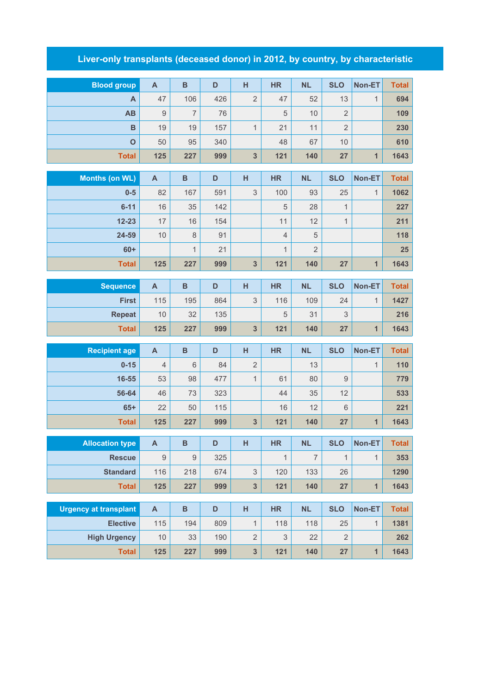## **Liver-only transplants (deceased donor) in 2012, by country, by characteristic**

| <b>Blood group</b>           | $\boldsymbol{\mathsf{A}}$ | B              | D   | $\overline{H}$          | <b>HR</b>                 | <b>NL</b>      | <b>SLO</b>       | Non-ET         | <b>Total</b> |
|------------------------------|---------------------------|----------------|-----|-------------------------|---------------------------|----------------|------------------|----------------|--------------|
| A                            | 47                        | 106            | 426 | $\overline{2}$          | 47                        | 52             | 13               | $\mathbf{1}$   | 694          |
| AB                           | $\hbox{9}$                | $\overline{7}$ | 76  |                         | 5                         | 10             | $\overline{2}$   |                | 109          |
| $\mathbf B$                  | 19                        | 19             | 157 | $\mathbf{1}$            | 21                        | 11             | $\overline{2}$   |                | 230          |
| $\overline{O}$               | 50                        | 95             | 340 |                         | 48                        | 67             | 10               |                | 610          |
| <b>Total</b>                 | 125                       | 227            | 999 | $\overline{\mathbf{3}}$ | 121                       | 140            | 27               | $\overline{1}$ | 1643         |
| <b>Months (on WL)</b>        | $\mathsf{A}$              | $\overline{B}$ | D   | H                       | <b>HR</b>                 | <b>NL</b>      | <b>SLO</b>       | Non-ET         | <b>Total</b> |
| $0-5$                        | 82                        | 167            | 591 | $\mathsf 3$             | 100                       | 93             | 25               | $\mathbf{1}$   | 1062         |
| $6 - 11$                     | 16                        | 35             | 142 |                         | 5                         | 28             | $\mathbf{1}$     |                | 227          |
| $12 - 23$                    | 17                        | 16             | 154 |                         | 11                        | 12             | $\mathbf{1}$     |                | 211          |
| 24-59                        | 10                        | $\,8\,$        | 91  |                         | $\overline{4}$            | $\sqrt{5}$     |                  |                | 118          |
| $60+$                        |                           | $\mathbf{1}$   | 21  |                         | $\mathbf{1}$              | $\overline{2}$ |                  |                | 25           |
| <b>Total</b>                 | 125                       | 227            | 999 | 3                       | 121                       | 140            | 27               | $\overline{1}$ | 1643         |
|                              |                           |                |     |                         |                           |                |                  |                |              |
| <b>Sequence</b>              | $\mathsf{A}$              | $\overline{B}$ | D   | H                       | <b>HR</b>                 | <b>NL</b>      | <b>SLO</b>       | Non-ET         | <b>Total</b> |
| <b>First</b>                 | 115                       | 195            | 864 | $\mathsf 3$             | 116                       | 109            | 24               | $\mathbf{1}$   | 1427         |
| <b>Repeat</b>                | 10                        | 32             | 135 |                         | 5                         | 31             | 3                |                | 216          |
| <b>Total</b>                 | 125                       | 227            | 999 | $\overline{\mathbf{3}}$ | 121                       | 140            | 27               | 1              | 1643         |
| <b>Recipient age</b>         | $\mathsf{A}$              | B              | D   | H                       | <b>HR</b>                 | <b>NL</b>      | <b>SLO</b>       | Non-ET         | <b>Total</b> |
| $0 - 15$                     | $\overline{4}$            | 6              | 84  | $\overline{2}$          |                           | 13             |                  | $\mathbf{1}$   | 110          |
| 16-55                        | 53                        | 98             | 477 | $\mathbf{1}$            | 61                        | 80             | $\boldsymbol{9}$ |                | 779          |
| 56-64                        | 46                        | 73             | 323 |                         | 44                        | 35             | 12               |                | 533          |
| $65+$                        | 22                        | 50             | 115 |                         | 16                        | 12             | $6\phantom{1}$   |                | 221          |
| <b>Total</b>                 | 125                       | 227            | 999 | $\overline{\mathbf{3}}$ | 121                       | 140            | 27               | $\mathbf{1}$   | 1643         |
| <b>Allocation type</b>       | $\overline{\mathsf{A}}$   | B              | D   | H                       | HR                        | <b>NL</b>      | <b>SLO</b>       | Non-ET         | <b>Total</b> |
| <b>Rescue</b>                | $\hbox{9}$                | $\hbox{9}$     | 325 |                         | $\overline{1}$            | $\overline{7}$ | $\mathbf{1}$     | $\mathbf{1}$   | 353          |
| <b>Standard</b>              | 116                       | 218            | 674 | $\mathfrak 3$           | 120                       | 133            | 26               |                | 1290         |
| <b>Total</b>                 | 125                       | 227            | 999 | $\mathbf{3}$            | 121                       | 140            | 27               | $\mathbf{1}$   | 1643         |
|                              |                           |                |     |                         |                           |                |                  |                |              |
| <b>Urgency at transplant</b> | $\mathbf{A}$              | $\overline{B}$ | D   | H                       | <b>HR</b>                 | <b>NL</b>      | <b>SLO</b>       | Non-ET         | <b>Total</b> |
| <b>Elective</b>              | 115                       | 194            | 809 | $\mathbf{1}$            | 118                       | 118            | 25               | $\mathbf{1}$   | 1381         |
| <b>High Urgency</b>          | $10$                      | 33             | 190 | $\mathbf{2}$            | $\ensuremath{\mathsf{3}}$ | 22             | $\overline{2}$   |                | 262          |
| <b>Total</b>                 | 125                       | 227            | 999 | 3                       | 121                       | 140            | 27               | $\mathbf{1}$   | 1643         |